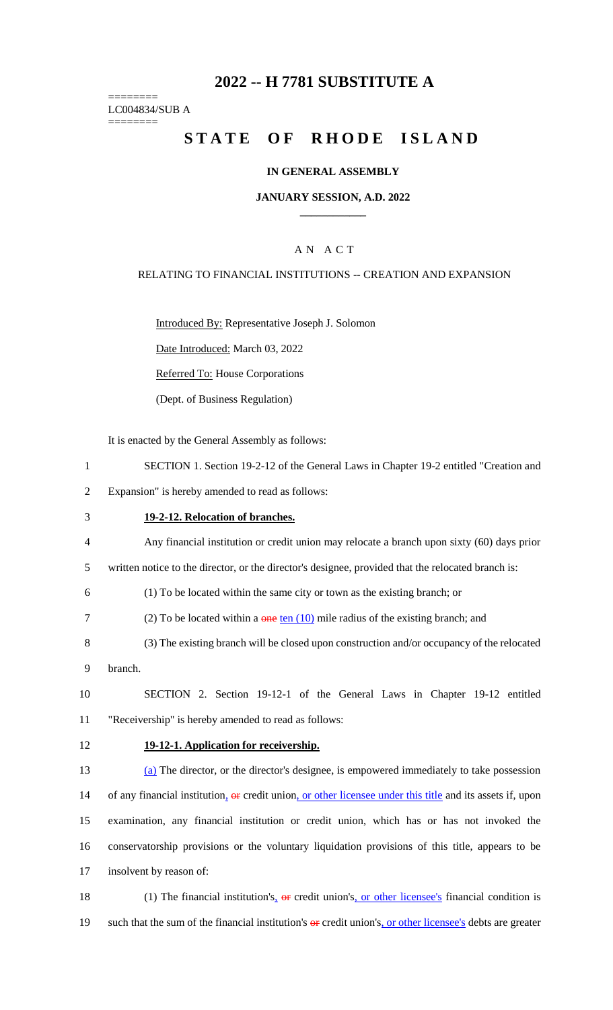## **2022 -- H 7781 SUBSTITUTE A**

======== LC004834/SUB A ========

# **STATE OF RHODE ISLAND**

### **IN GENERAL ASSEMBLY**

### **JANUARY SESSION, A.D. 2022 \_\_\_\_\_\_\_\_\_\_\_\_**

## A N A C T

### RELATING TO FINANCIAL INSTITUTIONS -- CREATION AND EXPANSION

Introduced By: Representative Joseph J. Solomon

Date Introduced: March 03, 2022

Referred To: House Corporations

(Dept. of Business Regulation)

It is enacted by the General Assembly as follows:

1 SECTION 1. Section 19-2-12 of the General Laws in Chapter 19-2 entitled "Creation and

2 Expansion" is hereby amended to read as follows:

## 3 **19-2-12. Relocation of branches.**

4 Any financial institution or credit union may relocate a branch upon sixty (60) days prior

5 written notice to the director, or the director's designee, provided that the relocated branch is:

6 (1) To be located within the same city or town as the existing branch; or

- 7 (2) To be located within a  $\theta$  one ten (10) mile radius of the existing branch; and
- 8 (3) The existing branch will be closed upon construction and/or occupancy of the relocated
- 9 branch.

10 SECTION 2. Section 19-12-1 of the General Laws in Chapter 19-12 entitled 11 "Receivership" is hereby amended to read as follows:

### 12 **19-12-1. Application for receivership.**

 (a) The director, or the director's designee, is empowered immediately to take possession 14 of any financial institution, or credit union, or other licensee under this title and its assets if, upon examination, any financial institution or credit union, which has or has not invoked the conservatorship provisions or the voluntary liquidation provisions of this title, appears to be insolvent by reason of:

18 (1) The financial institution's,  $\theta$  er credit union's, or other licensee's financial condition is 19 such that the sum of the financial institution's  $\theta$  credit union's, or other licensee's debts are greater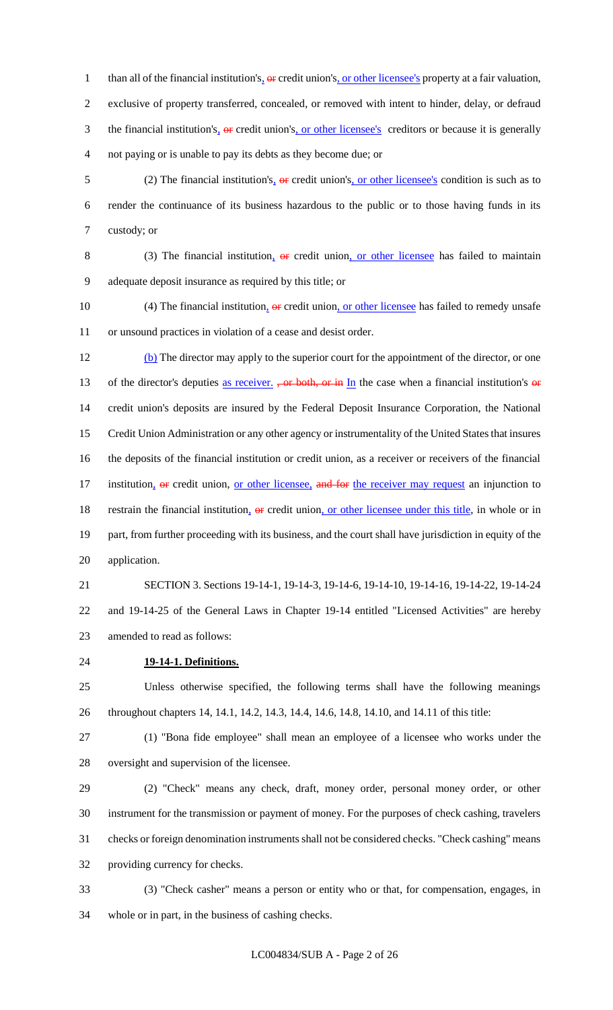1 than all of the financial institution's,  $\Theta$ **r** credit union's, <u>or other licensee's</u> property at a fair valuation, exclusive of property transferred, concealed, or removed with intent to hinder, delay, or defraud 3 the financial institution's<sub><sup>1</sup></sub> or credit union's<sub><sup>1</sup></sub> or other licensee's creditors or because it is generally not paying or is unable to pay its debts as they become due; or

5 (2) The financial institution's<sub><sup>1</sup></sub> or credit union's<sub>1</sub> or other licensee's condition is such as to render the continuance of its business hazardous to the public or to those having funds in its custody; or

8 (3) The financial institution,  $\Theta$  eredit union, or other licensee has failed to maintain adequate deposit insurance as required by this title; or

10 (4) The financial institution,  $\Theta$  eredit union, or other licensee has failed to remedy unsafe or unsound practices in violation of a cease and desist order.

 (b) The director may apply to the superior court for the appointment of the director, or one 13 of the director's deputies as receiver. , or both, or in  $In$  the case when a financial institution's or credit union's deposits are insured by the Federal Deposit Insurance Corporation, the National Credit Union Administration or any other agency or instrumentality of the United States that insures the deposits of the financial institution or credit union, as a receiver or receivers of the financial 17 institution, or credit union, or other licensee, and for the receiver may request an injunction to 18 restrain the financial institution, or credit union, or other licensee under this title, in whole or in part, from further proceeding with its business, and the court shall have jurisdiction in equity of the application.

 SECTION 3. Sections 19-14-1, 19-14-3, 19-14-6, 19-14-10, 19-14-16, 19-14-22, 19-14-24 and 19-14-25 of the General Laws in Chapter 19-14 entitled "Licensed Activities" are hereby amended to read as follows:

**19-14-1. Definitions.**

 Unless otherwise specified, the following terms shall have the following meanings throughout chapters 14, 14.1, 14.2, 14.3, 14.4, 14.6, 14.8, 14.10, and 14.11 of this title:

 (1) "Bona fide employee" shall mean an employee of a licensee who works under the oversight and supervision of the licensee.

 (2) "Check" means any check, draft, money order, personal money order, or other instrument for the transmission or payment of money. For the purposes of check cashing, travelers checks or foreign denomination instruments shall not be considered checks. "Check cashing" means providing currency for checks.

 (3) "Check casher" means a person or entity who or that, for compensation, engages, in whole or in part, in the business of cashing checks.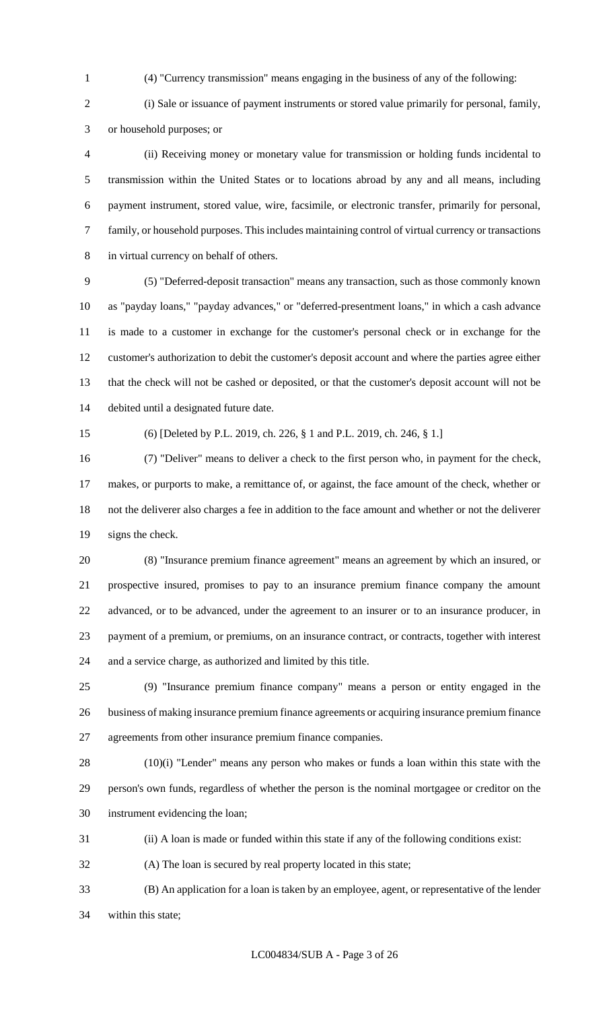(4) "Currency transmission" means engaging in the business of any of the following:

 (i) Sale or issuance of payment instruments or stored value primarily for personal, family, or household purposes; or

 (ii) Receiving money or monetary value for transmission or holding funds incidental to transmission within the United States or to locations abroad by any and all means, including payment instrument, stored value, wire, facsimile, or electronic transfer, primarily for personal, family, or household purposes. This includes maintaining control of virtual currency or transactions in virtual currency on behalf of others.

 (5) "Deferred-deposit transaction" means any transaction, such as those commonly known as "payday loans," "payday advances," or "deferred-presentment loans," in which a cash advance is made to a customer in exchange for the customer's personal check or in exchange for the customer's authorization to debit the customer's deposit account and where the parties agree either that the check will not be cashed or deposited, or that the customer's deposit account will not be debited until a designated future date.

(6) [Deleted by P.L. 2019, ch. 226, § 1 and P.L. 2019, ch. 246, § 1.]

 (7) "Deliver" means to deliver a check to the first person who, in payment for the check, makes, or purports to make, a remittance of, or against, the face amount of the check, whether or not the deliverer also charges a fee in addition to the face amount and whether or not the deliverer signs the check.

 (8) "Insurance premium finance agreement" means an agreement by which an insured, or prospective insured, promises to pay to an insurance premium finance company the amount advanced, or to be advanced, under the agreement to an insurer or to an insurance producer, in payment of a premium, or premiums, on an insurance contract, or contracts, together with interest and a service charge, as authorized and limited by this title.

 (9) "Insurance premium finance company" means a person or entity engaged in the business of making insurance premium finance agreements or acquiring insurance premium finance agreements from other insurance premium finance companies.

 (10)(i) "Lender" means any person who makes or funds a loan within this state with the person's own funds, regardless of whether the person is the nominal mortgagee or creditor on the instrument evidencing the loan;

(ii) A loan is made or funded within this state if any of the following conditions exist:

(A) The loan is secured by real property located in this state;

 (B) An application for a loan is taken by an employee, agent, or representative of the lender within this state;

LC004834/SUB A - Page 3 of 26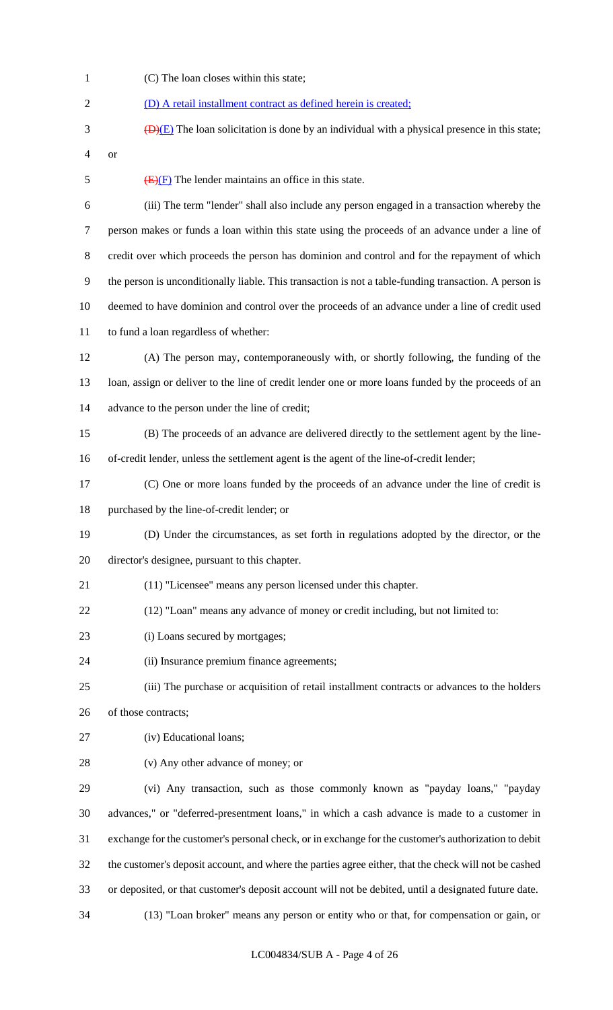(C) The loan closes within this state; (D) A retail installment contract as defined herein is created;  $\overline{(D)(E)}$  The loan solicitation is done by an individual with a physical presence in this state; or  $\overline{(E)(F)}$  The lender maintains an office in this state. (iii) The term "lender" shall also include any person engaged in a transaction whereby the person makes or funds a loan within this state using the proceeds of an advance under a line of credit over which proceeds the person has dominion and control and for the repayment of which the person is unconditionally liable. This transaction is not a table-funding transaction. A person is deemed to have dominion and control over the proceeds of an advance under a line of credit used to fund a loan regardless of whether: (A) The person may, contemporaneously with, or shortly following, the funding of the loan, assign or deliver to the line of credit lender one or more loans funded by the proceeds of an advance to the person under the line of credit; (B) The proceeds of an advance are delivered directly to the settlement agent by the line- of-credit lender, unless the settlement agent is the agent of the line-of-credit lender; (C) One or more loans funded by the proceeds of an advance under the line of credit is purchased by the line-of-credit lender; or (D) Under the circumstances, as set forth in regulations adopted by the director, or the director's designee, pursuant to this chapter. (11) "Licensee" means any person licensed under this chapter. (12) "Loan" means any advance of money or credit including, but not limited to: 23 (i) Loans secured by mortgages; (ii) Insurance premium finance agreements; (iii) The purchase or acquisition of retail installment contracts or advances to the holders of those contracts; (iv) Educational loans; (v) Any other advance of money; or (vi) Any transaction, such as those commonly known as "payday loans," "payday advances," or "deferred-presentment loans," in which a cash advance is made to a customer in exchange for the customer's personal check, or in exchange for the customer's authorization to debit the customer's deposit account, and where the parties agree either, that the check will not be cashed or deposited, or that customer's deposit account will not be debited, until a designated future date. (13) "Loan broker" means any person or entity who or that, for compensation or gain, or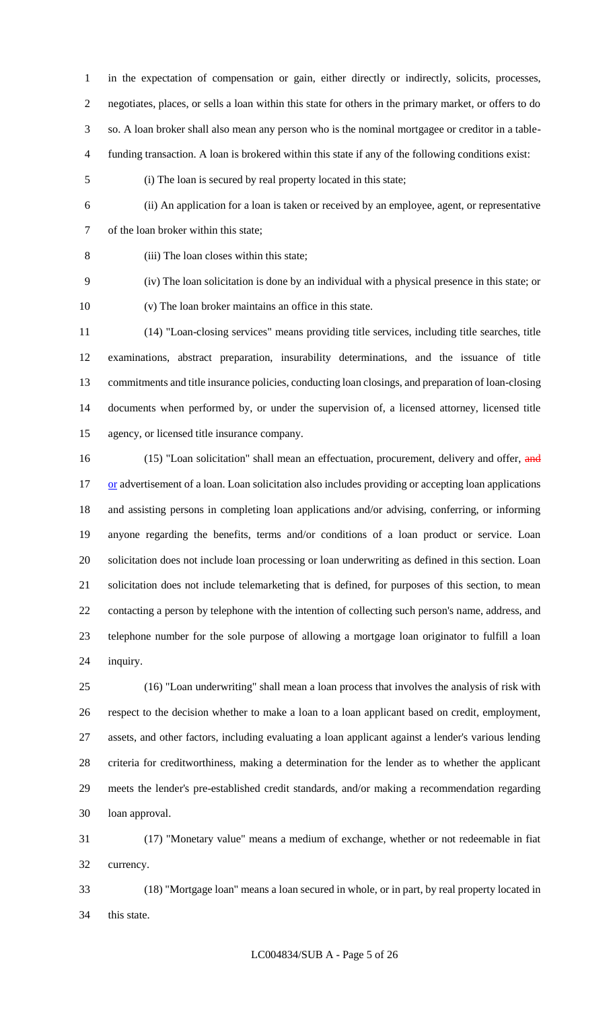in the expectation of compensation or gain, either directly or indirectly, solicits, processes, negotiates, places, or sells a loan within this state for others in the primary market, or offers to do so. A loan broker shall also mean any person who is the nominal mortgagee or creditor in a table-funding transaction. A loan is brokered within this state if any of the following conditions exist:

- (i) The loan is secured by real property located in this state;
- (ii) An application for a loan is taken or received by an employee, agent, or representative of the loan broker within this state;
- 

(iii) The loan closes within this state;

 (iv) The loan solicitation is done by an individual with a physical presence in this state; or (v) The loan broker maintains an office in this state.

 (14) "Loan-closing services" means providing title services, including title searches, title examinations, abstract preparation, insurability determinations, and the issuance of title commitments and title insurance policies, conducting loan closings, and preparation of loan-closing documents when performed by, or under the supervision of, a licensed attorney, licensed title agency, or licensed title insurance company.

16 (15) "Loan solicitation" shall mean an effectuation, procurement, delivery and offer, and 17 or advertisement of a loan. Loan solicitation also includes providing or accepting loan applications and assisting persons in completing loan applications and/or advising, conferring, or informing anyone regarding the benefits, terms and/or conditions of a loan product or service. Loan solicitation does not include loan processing or loan underwriting as defined in this section. Loan solicitation does not include telemarketing that is defined, for purposes of this section, to mean contacting a person by telephone with the intention of collecting such person's name, address, and telephone number for the sole purpose of allowing a mortgage loan originator to fulfill a loan inquiry.

 (16) "Loan underwriting" shall mean a loan process that involves the analysis of risk with respect to the decision whether to make a loan to a loan applicant based on credit, employment, assets, and other factors, including evaluating a loan applicant against a lender's various lending criteria for creditworthiness, making a determination for the lender as to whether the applicant meets the lender's pre-established credit standards, and/or making a recommendation regarding loan approval.

 (17) "Monetary value" means a medium of exchange, whether or not redeemable in fiat currency.

 (18) "Mortgage loan" means a loan secured in whole, or in part, by real property located in this state.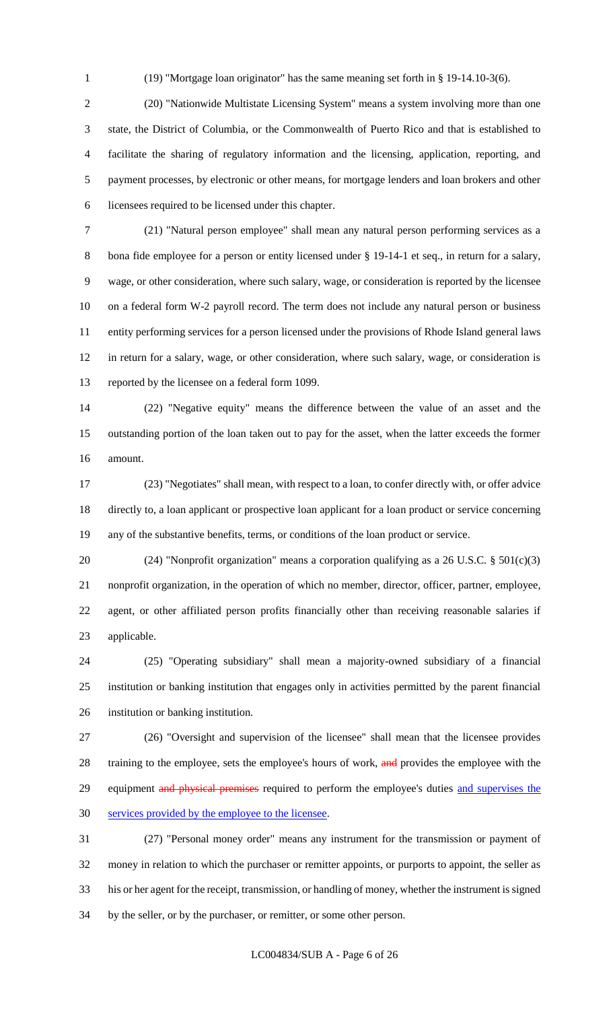(19) "Mortgage loan originator" has the same meaning set forth in § 19-14.10-3(6).

 (20) "Nationwide Multistate Licensing System" means a system involving more than one state, the District of Columbia, or the Commonwealth of Puerto Rico and that is established to facilitate the sharing of regulatory information and the licensing, application, reporting, and payment processes, by electronic or other means, for mortgage lenders and loan brokers and other licensees required to be licensed under this chapter.

 (21) "Natural person employee" shall mean any natural person performing services as a 8 bona fide employee for a person or entity licensed under § 19-14-1 et seq., in return for a salary, wage, or other consideration, where such salary, wage, or consideration is reported by the licensee on a federal form W-2 payroll record. The term does not include any natural person or business entity performing services for a person licensed under the provisions of Rhode Island general laws in return for a salary, wage, or other consideration, where such salary, wage, or consideration is reported by the licensee on a federal form 1099.

 (22) "Negative equity" means the difference between the value of an asset and the outstanding portion of the loan taken out to pay for the asset, when the latter exceeds the former amount.

 (23) "Negotiates" shall mean, with respect to a loan, to confer directly with, or offer advice directly to, a loan applicant or prospective loan applicant for a loan product or service concerning any of the substantive benefits, terms, or conditions of the loan product or service.

 (24) "Nonprofit organization" means a corporation qualifying as a 26 U.S.C. § 501(c)(3) nonprofit organization, in the operation of which no member, director, officer, partner, employee, agent, or other affiliated person profits financially other than receiving reasonable salaries if applicable.

 (25) "Operating subsidiary" shall mean a majority-owned subsidiary of a financial institution or banking institution that engages only in activities permitted by the parent financial institution or banking institution.

 (26) "Oversight and supervision of the licensee" shall mean that the licensee provides 28 training to the employee, sets the employee's hours of work, and provides the employee with the 29 equipment and physical premises required to perform the employee's duties and supervises the services provided by the employee to the licensee.

 (27) "Personal money order" means any instrument for the transmission or payment of money in relation to which the purchaser or remitter appoints, or purports to appoint, the seller as his or her agent for the receipt, transmission, or handling of money, whether the instrument is signed by the seller, or by the purchaser, or remitter, or some other person.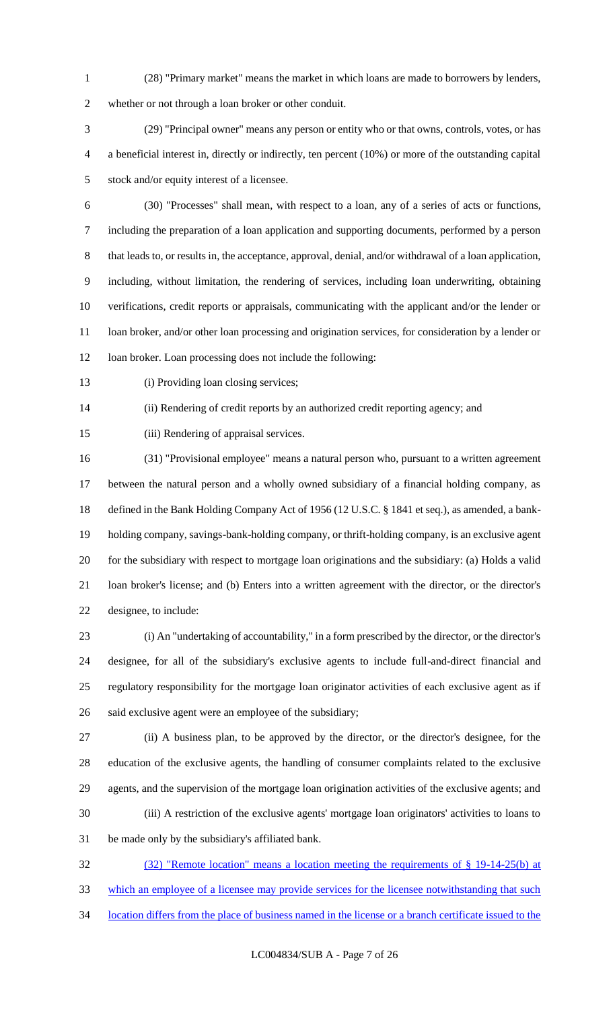(28) "Primary market" means the market in which loans are made to borrowers by lenders,

whether or not through a loan broker or other conduit.

 (29) "Principal owner" means any person or entity who or that owns, controls, votes, or has a beneficial interest in, directly or indirectly, ten percent (10%) or more of the outstanding capital stock and/or equity interest of a licensee.

- (30) "Processes" shall mean, with respect to a loan, any of a series of acts or functions, including the preparation of a loan application and supporting documents, performed by a person 8 that leads to, or results in, the acceptance, approval, denial, and/or withdrawal of a loan application, including, without limitation, the rendering of services, including loan underwriting, obtaining verifications, credit reports or appraisals, communicating with the applicant and/or the lender or loan broker, and/or other loan processing and origination services, for consideration by a lender or 12 loan broker. Loan processing does not include the following:
- 

13 (i) Providing loan closing services;

(ii) Rendering of credit reports by an authorized credit reporting agency; and

(iii) Rendering of appraisal services.

 (31) "Provisional employee" means a natural person who, pursuant to a written agreement between the natural person and a wholly owned subsidiary of a financial holding company, as defined in the Bank Holding Company Act of 1956 (12 U.S.C. § 1841 et seq.), as amended, a bank- holding company, savings-bank-holding company, or thrift-holding company, is an exclusive agent for the subsidiary with respect to mortgage loan originations and the subsidiary: (a) Holds a valid loan broker's license; and (b) Enters into a written agreement with the director, or the director's designee, to include:

 (i) An "undertaking of accountability," in a form prescribed by the director, or the director's designee, for all of the subsidiary's exclusive agents to include full-and-direct financial and regulatory responsibility for the mortgage loan originator activities of each exclusive agent as if said exclusive agent were an employee of the subsidiary;

 (ii) A business plan, to be approved by the director, or the director's designee, for the education of the exclusive agents, the handling of consumer complaints related to the exclusive agents, and the supervision of the mortgage loan origination activities of the exclusive agents; and (iii) A restriction of the exclusive agents' mortgage loan originators' activities to loans to be made only by the subsidiary's affiliated bank.

 (32) "Remote location" means a location meeting the requirements of § 19-14-25(b) at which an employee of a licensee may provide services for the licensee notwithstanding that such location differs from the place of business named in the license or a branch certificate issued to the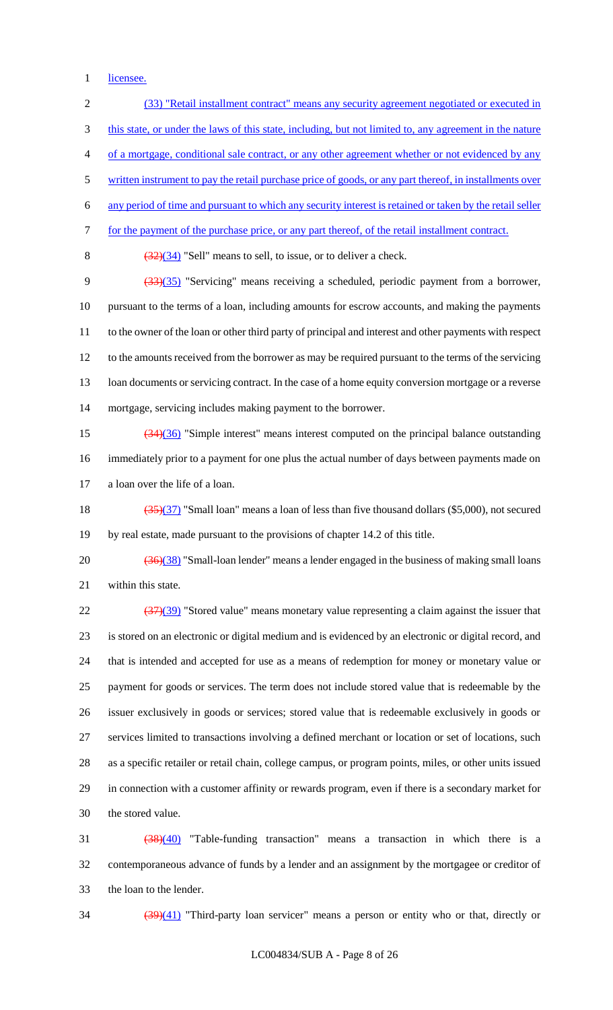1 licensee.

 (33) "Retail installment contract" means any security agreement negotiated or executed in this state, or under the laws of this state, including, but not limited to, any agreement in the nature of a mortgage, conditional sale contract, or any other agreement whether or not evidenced by any 5 written instrument to pay the retail purchase price of goods, or any part thereof, in installments over any period of time and pursuant to which any security interest is retained or taken by the retail seller for the payment of the purchase price, or any part thereof, of the retail installment contract.  $(32)(34)$  "Sell" means to sell, to issue, or to deliver a check. (33)(35) "Servicing" means receiving a scheduled, periodic payment from a borrower, pursuant to the terms of a loan, including amounts for escrow accounts, and making the payments to the owner of the loan or other third party of principal and interest and other payments with respect to the amounts received from the borrower as may be required pursuant to the terms of the servicing 13 loan documents or servicing contract. In the case of a home equity conversion mortgage or a reverse mortgage, servicing includes making payment to the borrower. (34)(36) "Simple interest" means interest computed on the principal balance outstanding immediately prior to a payment for one plus the actual number of days between payments made on a loan over the life of a loan. 18 (35)(37) "Small loan" means a loan of less than five thousand dollars (\$5,000), not secured by real estate, made pursuant to the provisions of chapter 14.2 of this title.  $\left(\frac{36}{38}\right)$  "Small-loan lender" means a lender engaged in the business of making small loans within this state.  $\frac{(37)(39)}{22}$  "Stored value" means monetary value representing a claim against the issuer that is stored on an electronic or digital medium and is evidenced by an electronic or digital record, and that is intended and accepted for use as a means of redemption for money or monetary value or payment for goods or services. The term does not include stored value that is redeemable by the issuer exclusively in goods or services; stored value that is redeemable exclusively in goods or services limited to transactions involving a defined merchant or location or set of locations, such as a specific retailer or retail chain, college campus, or program points, miles, or other units issued in connection with a customer affinity or rewards program, even if there is a secondary market for the stored value. (38)(40) "Table-funding transaction" means a transaction in which there is a contemporaneous advance of funds by a lender and an assignment by the mortgagee or creditor of

the loan to the lender.

34 (39)(41) "Third-party loan servicer" means a person or entity who or that, directly or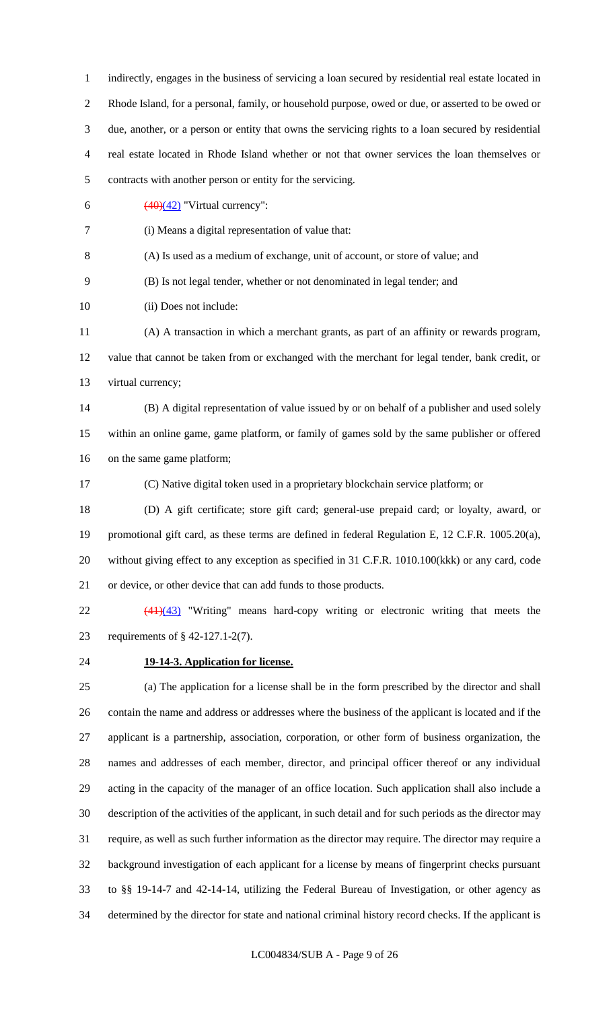indirectly, engages in the business of servicing a loan secured by residential real estate located in Rhode Island, for a personal, family, or household purpose, owed or due, or asserted to be owed or due, another, or a person or entity that owns the servicing rights to a loan secured by residential real estate located in Rhode Island whether or not that owner services the loan themselves or contracts with another person or entity for the servicing.  $\left(\frac{(40)(42)}{ } \right)$  "Virtual currency": (i) Means a digital representation of value that: (A) Is used as a medium of exchange, unit of account, or store of value; and (B) Is not legal tender, whether or not denominated in legal tender; and (ii) Does not include: (A) A transaction in which a merchant grants, as part of an affinity or rewards program, value that cannot be taken from or exchanged with the merchant for legal tender, bank credit, or virtual currency; (B) A digital representation of value issued by or on behalf of a publisher and used solely within an online game, game platform, or family of games sold by the same publisher or offered on the same game platform; (C) Native digital token used in a proprietary blockchain service platform; or (D) A gift certificate; store gift card; general-use prepaid card; or loyalty, award, or promotional gift card, as these terms are defined in federal Regulation E, 12 C.F.R. 1005.20(a), without giving effect to any exception as specified in 31 C.F.R. 1010.100(kkk) or any card, code or device, or other device that can add funds to those products. (41)(43) "Writing" means hard-copy writing or electronic writing that meets the requirements of § 42-127.1-2(7). **19-14-3. Application for license.** (a) The application for a license shall be in the form prescribed by the director and shall contain the name and address or addresses where the business of the applicant is located and if the applicant is a partnership, association, corporation, or other form of business organization, the names and addresses of each member, director, and principal officer thereof or any individual acting in the capacity of the manager of an office location. Such application shall also include a

description of the activities of the applicant, in such detail and for such periods as the director may

 require, as well as such further information as the director may require. The director may require a background investigation of each applicant for a license by means of fingerprint checks pursuant

to §§ 19-14-7 and 42-14-14, utilizing the Federal Bureau of Investigation, or other agency as

determined by the director for state and national criminal history record checks. If the applicant is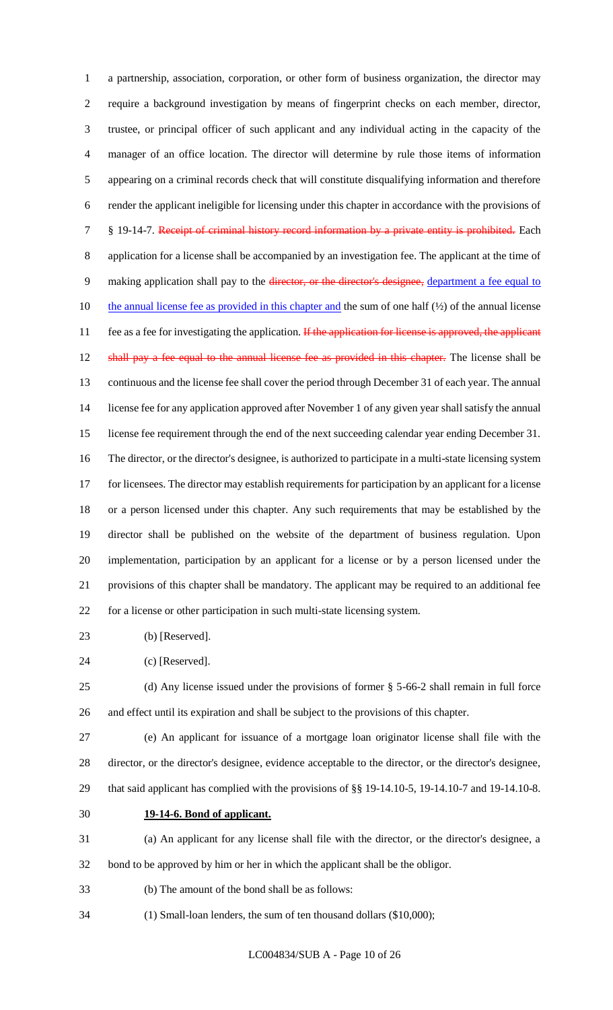a partnership, association, corporation, or other form of business organization, the director may require a background investigation by means of fingerprint checks on each member, director, trustee, or principal officer of such applicant and any individual acting in the capacity of the manager of an office location. The director will determine by rule those items of information appearing on a criminal records check that will constitute disqualifying information and therefore render the applicant ineligible for licensing under this chapter in accordance with the provisions of 7 § 19-14-7. Receipt of criminal history record information by a private entity is prohibited. Each application for a license shall be accompanied by an investigation fee. The applicant at the time of 9 making application shall pay to the director, or the director's designee, department a fee equal to 10 the annual license fee as provided in this chapter and the sum of one half  $(½)$  of the annual license 11 fee as a fee for investigating the application. If the application for license is approved, the applicant 12 shall pay a fee equal to the annual license fee as provided in this chapter. The license shall be continuous and the license fee shall cover the period through December 31 of each year. The annual license fee for any application approved after November 1 of any given year shall satisfy the annual license fee requirement through the end of the next succeeding calendar year ending December 31. The director, or the director's designee, is authorized to participate in a multi-state licensing system for licensees. The director may establish requirements for participation by an applicant for a license or a person licensed under this chapter. Any such requirements that may be established by the director shall be published on the website of the department of business regulation. Upon implementation, participation by an applicant for a license or by a person licensed under the provisions of this chapter shall be mandatory. The applicant may be required to an additional fee for a license or other participation in such multi-state licensing system.

- (b) [Reserved].
- (c) [Reserved].

 (d) Any license issued under the provisions of former § 5-66-2 shall remain in full force and effect until its expiration and shall be subject to the provisions of this chapter.

 (e) An applicant for issuance of a mortgage loan originator license shall file with the director, or the director's designee, evidence acceptable to the director, or the director's designee, that said applicant has complied with the provisions of §§ 19-14.10-5, 19-14.10-7 and 19-14.10-8.

**19-14-6. Bond of applicant.**

 (a) An applicant for any license shall file with the director, or the director's designee, a bond to be approved by him or her in which the applicant shall be the obligor.

- (b) The amount of the bond shall be as follows:
- (1) Small-loan lenders, the sum of ten thousand dollars (\$10,000);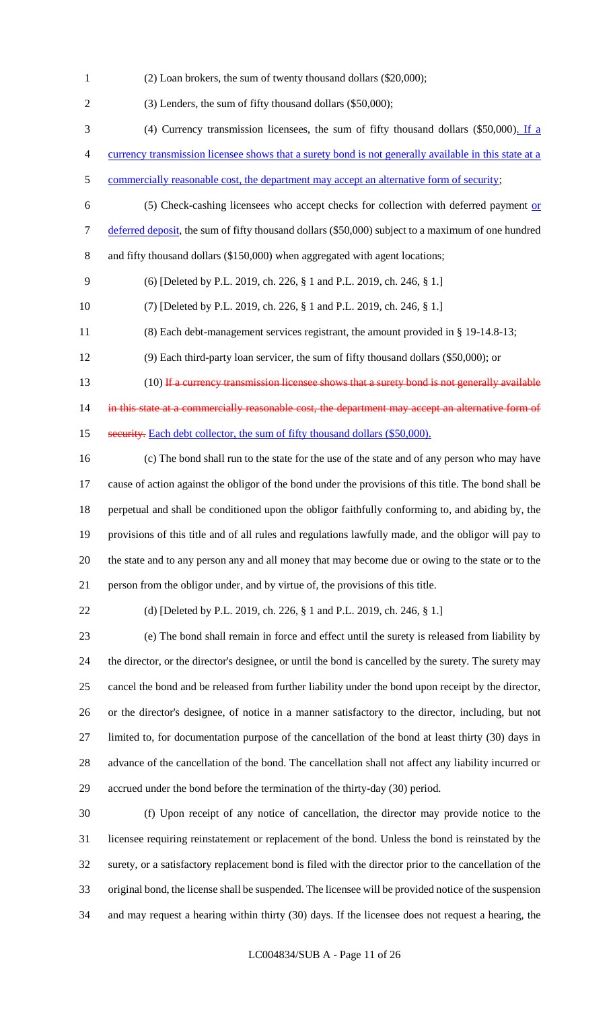(2) Loan brokers, the sum of twenty thousand dollars (\$20,000);

 (3) Lenders, the sum of fifty thousand dollars (\$50,000); (4) Currency transmission licensees, the sum of fifty thousand dollars (\$50,000). If a currency transmission licensee shows that a surety bond is not generally available in this state at a 5 commercially reasonable cost, the department may accept an alternative form of security; (5) Check-cashing licensees who accept checks for collection with deferred payment or 7 deferred deposit, the sum of fifty thousand dollars (\$50,000) subject to a maximum of one hundred and fifty thousand dollars (\$150,000) when aggregated with agent locations; (6) [Deleted by P.L. 2019, ch. 226, § 1 and P.L. 2019, ch. 246, § 1.] (7) [Deleted by P.L. 2019, ch. 226, § 1 and P.L. 2019, ch. 246, § 1.] (8) Each debt-management services registrant, the amount provided in § 19-14.8-13; (9) Each third-party loan servicer, the sum of fifty thousand dollars (\$50,000); or 13 (10) If a currency transmission licensee shows that a surety bond is not generally available 14 in this state at a commercially reasonable cost, the department may accept an alternative form of 15 security. Each debt collector, the sum of fifty thousand dollars (\$50,000). (c) The bond shall run to the state for the use of the state and of any person who may have cause of action against the obligor of the bond under the provisions of this title. The bond shall be perpetual and shall be conditioned upon the obligor faithfully conforming to, and abiding by, the provisions of this title and of all rules and regulations lawfully made, and the obligor will pay to the state and to any person any and all money that may become due or owing to the state or to the person from the obligor under, and by virtue of, the provisions of this title. (d) [Deleted by P.L. 2019, ch. 226, § 1 and P.L. 2019, ch. 246, § 1.]

 (e) The bond shall remain in force and effect until the surety is released from liability by the director, or the director's designee, or until the bond is cancelled by the surety. The surety may cancel the bond and be released from further liability under the bond upon receipt by the director, or the director's designee, of notice in a manner satisfactory to the director, including, but not limited to, for documentation purpose of the cancellation of the bond at least thirty (30) days in advance of the cancellation of the bond. The cancellation shall not affect any liability incurred or accrued under the bond before the termination of the thirty-day (30) period.

 (f) Upon receipt of any notice of cancellation, the director may provide notice to the licensee requiring reinstatement or replacement of the bond. Unless the bond is reinstated by the surety, or a satisfactory replacement bond is filed with the director prior to the cancellation of the original bond, the license shall be suspended. The licensee will be provided notice of the suspension and may request a hearing within thirty (30) days. If the licensee does not request a hearing, the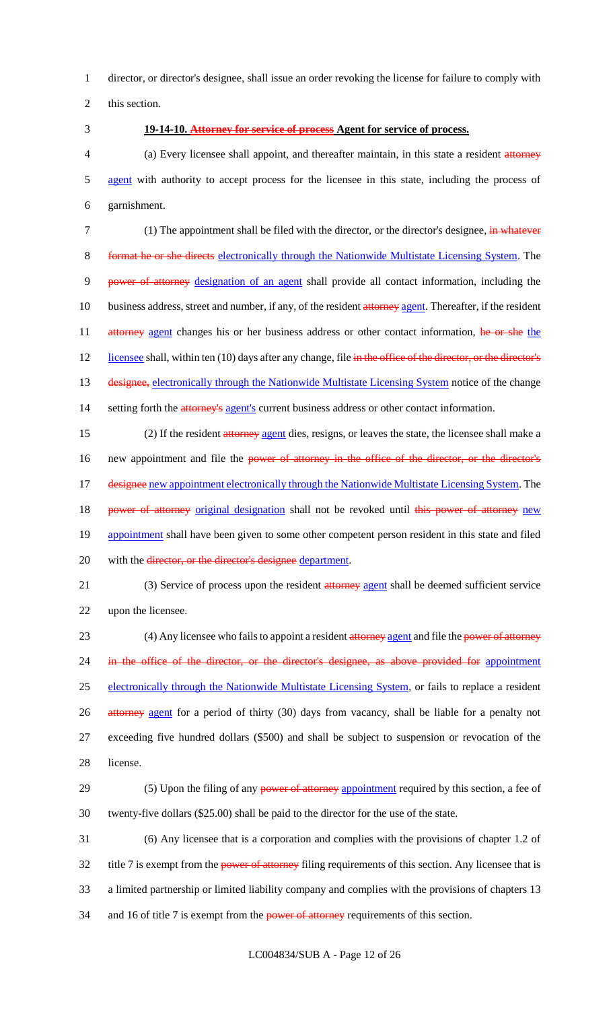1 director, or director's designee, shall issue an order revoking the license for failure to comply with

2 this section.

### 3 **19-14-10. Attorney for service of process Agent for service of process.**

4 (a) Every licensee shall appoint, and thereafter maintain, in this state a resident attorney 5 agent with authority to accept process for the licensee in this state, including the process of 6 garnishment.

7 (1) The appointment shall be filed with the director, or the director's designee, in whatever 8 format he or she directs electronically through the Nationwide Multistate Licensing System. The 9 power of attorney designation of an agent shall provide all contact information, including the 10 business address, street and number, if any, of the resident attorney agent. Thereafter, if the resident 11 attorney agent changes his or her business address or other contact information, he or she the 12 licensee shall, within ten (10) days after any change, file in the office of the director, or the director's 13 designee, electronically through the Nationwide Multistate Licensing System notice of the change 14 setting forth the **attorney's** agent's current business address or other contact information.

15 (2) If the resident attorney agent dies, resigns, or leaves the state, the licensee shall make a 16 new appointment and file the power of attorney in the office of the director, or the director's 17 designee new appointment electronically through the Nationwide Multistate Licensing System. The 18 power of attorney original designation shall not be revoked until this power of attorney new 19 appointment shall have been given to some other competent person resident in this state and filed 20 with the director, or the director's designee department.

21 (3) Service of process upon the resident attorney agent shall be deemed sufficient service 22 upon the licensee.

23 (4) Any licensee who fails to appoint a resident attorney agent and file the power of attorney 24 in the office of the director, or the director's designee, as above provided for appointment 25 electronically through the Nationwide Multistate Licensing System, or fails to replace a resident 26 attorney agent for a period of thirty (30) days from vacancy, shall be liable for a penalty not 27 exceeding five hundred dollars (\$500) and shall be subject to suspension or revocation of the 28 license.

29 (5) Upon the filing of any power of attorney appointment required by this section, a fee of 30 twenty-five dollars (\$25.00) shall be paid to the director for the use of the state.

31 (6) Any licensee that is a corporation and complies with the provisions of chapter 1.2 of 32 title 7 is exempt from the power of attorney filing requirements of this section. Any licensee that is 33 a limited partnership or limited liability company and complies with the provisions of chapters 13 34 and 16 of title 7 is exempt from the **power of attorney** requirements of this section.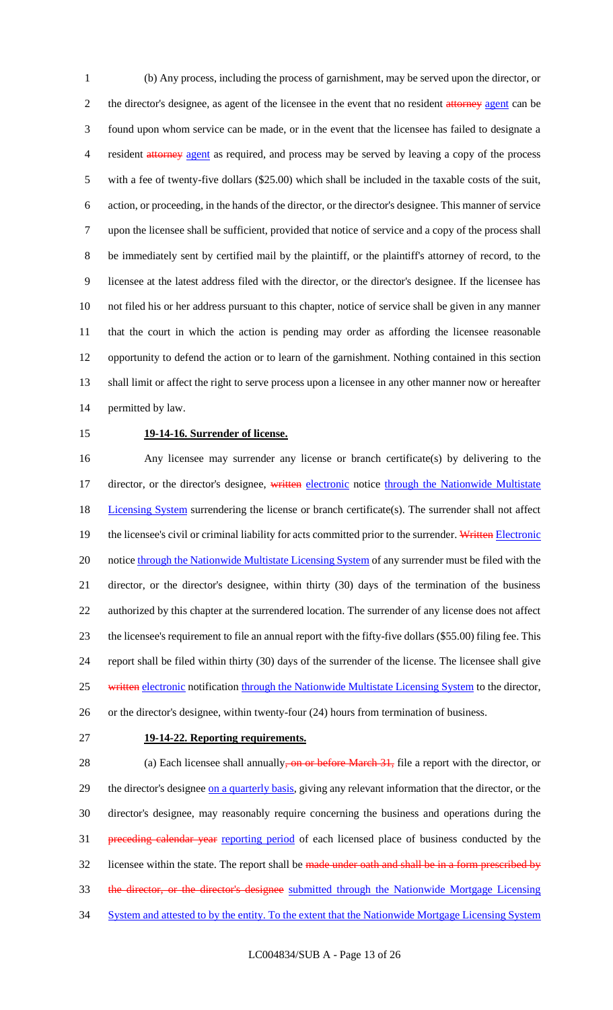(b) Any process, including the process of garnishment, may be served upon the director, or 2 the director's designee, as agent of the licensee in the event that no resident attorney agent can be found upon whom service can be made, or in the event that the licensee has failed to designate a 4 resident attorney agent as required, and process may be served by leaving a copy of the process with a fee of twenty-five dollars (\$25.00) which shall be included in the taxable costs of the suit, action, or proceeding, in the hands of the director, or the director's designee. This manner of service upon the licensee shall be sufficient, provided that notice of service and a copy of the process shall be immediately sent by certified mail by the plaintiff, or the plaintiff's attorney of record, to the licensee at the latest address filed with the director, or the director's designee. If the licensee has not filed his or her address pursuant to this chapter, notice of service shall be given in any manner that the court in which the action is pending may order as affording the licensee reasonable opportunity to defend the action or to learn of the garnishment. Nothing contained in this section shall limit or affect the right to serve process upon a licensee in any other manner now or hereafter permitted by law.

#### **19-14-16. Surrender of license.**

 Any licensee may surrender any license or branch certificate(s) by delivering to the 17 director, or the director's designee, written electronic notice through the Nationwide Multistate 18 Licensing System surrendering the license or branch certificate(s). The surrender shall not affect 19 the licensee's civil or criminal liability for acts committed prior to the surrender. Written Electronic 20 notice through the Nationwide Multistate Licensing System of any surrender must be filed with the director, or the director's designee, within thirty (30) days of the termination of the business authorized by this chapter at the surrendered location. The surrender of any license does not affect the licensee's requirement to file an annual report with the fifty-five dollars (\$55.00) filing fee. This report shall be filed within thirty (30) days of the surrender of the license. The licensee shall give 25 written electronic notification through the Nationwide Multistate Licensing System to the director, or the director's designee, within twenty-four (24) hours from termination of business.

#### **19-14-22. Reporting requirements.**

28 (a) Each licensee shall annually, on or before March 31, file a report with the director, or 29 the director's designee on a quarterly basis, giving any relevant information that the director, or the director's designee, may reasonably require concerning the business and operations during the 31 preceding calendar year reporting period of each licensed place of business conducted by the 32 licensee within the state. The report shall be made under oath and shall be in a form prescribed by the director, or the director's designee submitted through the Nationwide Mortgage Licensing 34 System and attested to by the entity. To the extent that the Nationwide Mortgage Licensing System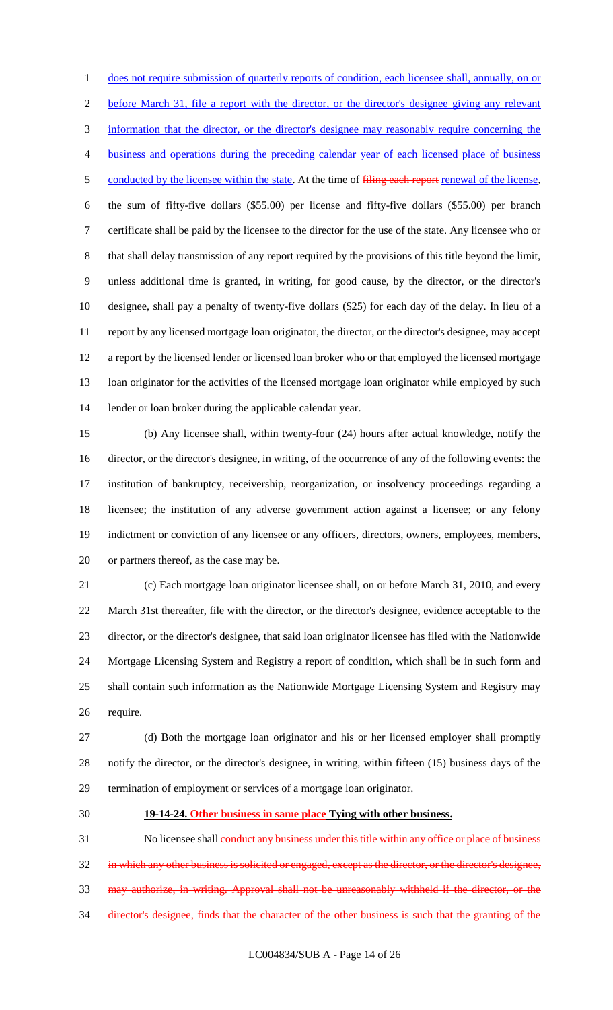1 does not require submission of quarterly reports of condition, each licensee shall, annually, on or before March 31, file a report with the director, or the director's designee giving any relevant information that the director, or the director's designee may reasonably require concerning the business and operations during the preceding calendar year of each licensed place of business 5 conducted by the licensee within the state. At the time of filing each report renewal of the license, the sum of fifty-five dollars (\$55.00) per license and fifty-five dollars (\$55.00) per branch certificate shall be paid by the licensee to the director for the use of the state. Any licensee who or that shall delay transmission of any report required by the provisions of this title beyond the limit, unless additional time is granted, in writing, for good cause, by the director, or the director's designee, shall pay a penalty of twenty-five dollars (\$25) for each day of the delay. In lieu of a report by any licensed mortgage loan originator, the director, or the director's designee, may accept a report by the licensed lender or licensed loan broker who or that employed the licensed mortgage loan originator for the activities of the licensed mortgage loan originator while employed by such lender or loan broker during the applicable calendar year.

 (b) Any licensee shall, within twenty-four (24) hours after actual knowledge, notify the director, or the director's designee, in writing, of the occurrence of any of the following events: the institution of bankruptcy, receivership, reorganization, or insolvency proceedings regarding a licensee; the institution of any adverse government action against a licensee; or any felony indictment or conviction of any licensee or any officers, directors, owners, employees, members, or partners thereof, as the case may be.

 (c) Each mortgage loan originator licensee shall, on or before March 31, 2010, and every March 31st thereafter, file with the director, or the director's designee, evidence acceptable to the director, or the director's designee, that said loan originator licensee has filed with the Nationwide Mortgage Licensing System and Registry a report of condition, which shall be in such form and shall contain such information as the Nationwide Mortgage Licensing System and Registry may require.

 (d) Both the mortgage loan originator and his or her licensed employer shall promptly notify the director, or the director's designee, in writing, within fifteen (15) business days of the termination of employment or services of a mortgage loan originator.

#### **19-14-24. Other business in same place Tying with other business.**

31 No licensee shall conduct any business under this title within any office or place of business in which any other business is solicited or engaged, except as the director, or the director's designee, may authorize, in writing. Approval shall not be unreasonably withheld if the director, or the director's designee, finds that the character of the other business is such that the granting of the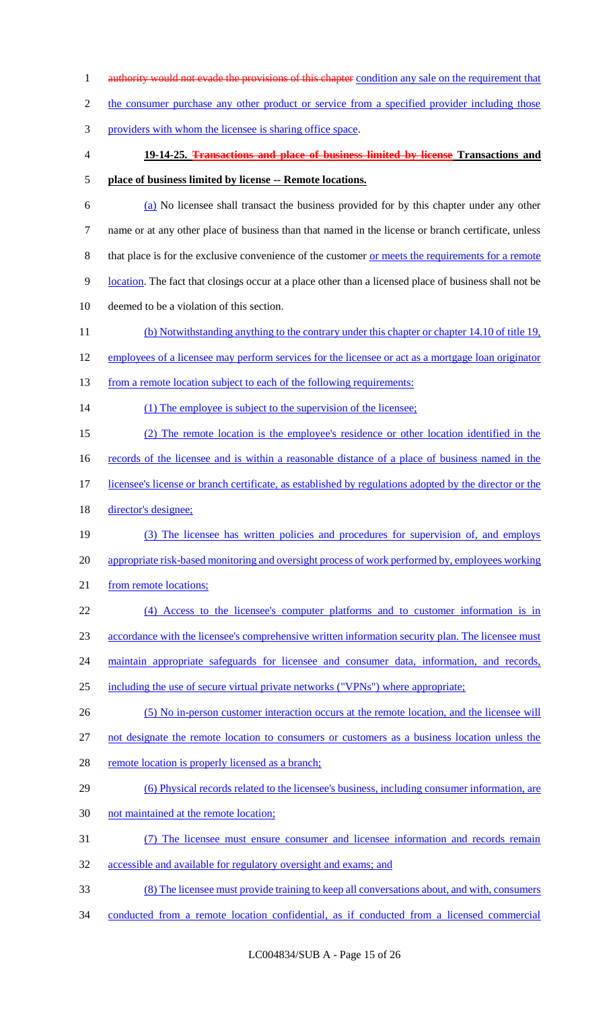1 authority would not evade the provisions of this chapter condition any sale on the requirement that 2 the consumer purchase any other product or service from a specified provider including those providers with whom the licensee is sharing office space. **19-14-25. Transactions and place of business limited by license Transactions and place of business limited by license -- Remote locations.** (a) No licensee shall transact the business provided for by this chapter under any other name or at any other place of business than that named in the license or branch certificate, unless that place is for the exclusive convenience of the customer or meets the requirements for a remote location. The fact that closings occur at a place other than a licensed place of business shall not be deemed to be a violation of this section. (b) Notwithstanding anything to the contrary under this chapter or chapter 14.10 of title 19, 12 employees of a licensee may perform services for the licensee or act as a mortgage loan originator 13 from a remote location subject to each of the following requirements: 14 (1) The employee is subject to the supervision of the licensee; (2) The remote location is the employee's residence or other location identified in the 16 records of the licensee and is within a reasonable distance of a place of business named in the 17 licensee's license or branch certificate, as established by regulations adopted by the director or the director's designee; (3) The licensee has written policies and procedures for supervision of, and employs appropriate risk-based monitoring and oversight process of work performed by, employees working 21 from remote locations; (4) Access to the licensee's computer platforms and to customer information is in accordance with the licensee's comprehensive written information security plan. The licensee must 24 maintain appropriate safeguards for licensee and consumer data, information, and records, including the use of secure virtual private networks ("VPNs") where appropriate; (5) No in-person customer interaction occurs at the remote location, and the licensee will not designate the remote location to consumers or customers as a business location unless the 28 remote location is properly licensed as a branch; (6) Physical records related to the licensee's business, including consumer information, are not maintained at the remote location; (7) The licensee must ensure consumer and licensee information and records remain accessible and available for regulatory oversight and exams; and (8) The licensee must provide training to keep all conversations about, and with, consumers conducted from a remote location confidential, as if conducted from a licensed commercial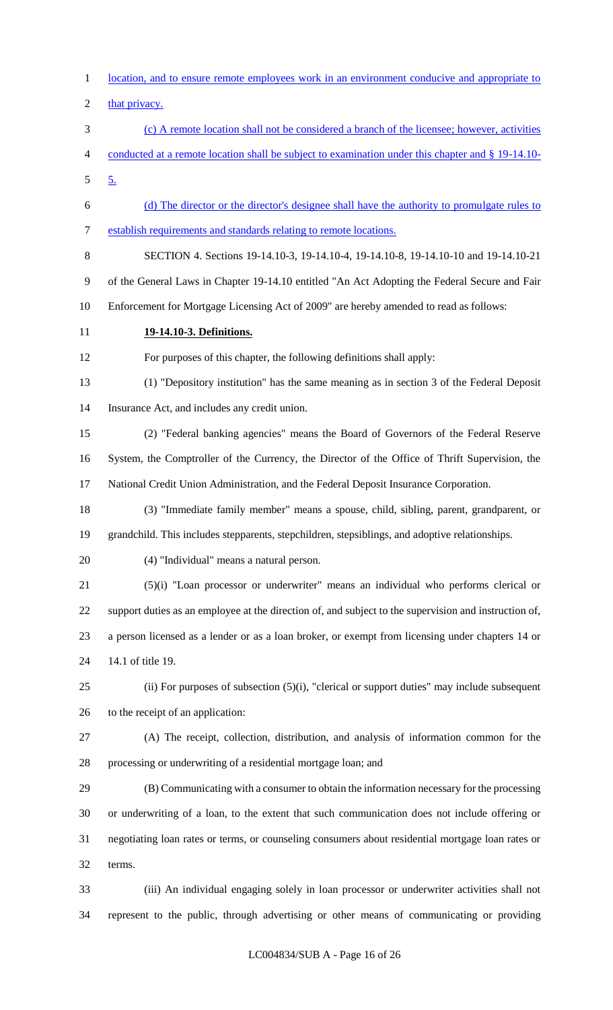location, and to ensure remote employees work in an environment conducive and appropriate to 2 that privacy. (c) A remote location shall not be considered a branch of the licensee; however, activities conducted at a remote location shall be subject to examination under this chapter and § 19-14.10- 5. (d) The director or the director's designee shall have the authority to promulgate rules to establish requirements and standards relating to remote locations. SECTION 4. Sections 19-14.10-3, 19-14.10-4, 19-14.10-8, 19-14.10-10 and 19-14.10-21 of the General Laws in Chapter 19-14.10 entitled "An Act Adopting the Federal Secure and Fair Enforcement for Mortgage Licensing Act of 2009" are hereby amended to read as follows: **19-14.10-3. Definitions.** For purposes of this chapter, the following definitions shall apply: (1) "Depository institution" has the same meaning as in section 3 of the Federal Deposit Insurance Act, and includes any credit union. (2) "Federal banking agencies" means the Board of Governors of the Federal Reserve System, the Comptroller of the Currency, the Director of the Office of Thrift Supervision, the National Credit Union Administration, and the Federal Deposit Insurance Corporation. (3) "Immediate family member" means a spouse, child, sibling, parent, grandparent, or grandchild. This includes stepparents, stepchildren, stepsiblings, and adoptive relationships. (4) "Individual" means a natural person. (5)(i) "Loan processor or underwriter" means an individual who performs clerical or support duties as an employee at the direction of, and subject to the supervision and instruction of, a person licensed as a lender or as a loan broker, or exempt from licensing under chapters 14 or 14.1 of title 19. (ii) For purposes of subsection (5)(i), "clerical or support duties" may include subsequent to the receipt of an application: (A) The receipt, collection, distribution, and analysis of information common for the processing or underwriting of a residential mortgage loan; and (B) Communicating with a consumer to obtain the information necessary for the processing or underwriting of a loan, to the extent that such communication does not include offering or negotiating loan rates or terms, or counseling consumers about residential mortgage loan rates or terms. (iii) An individual engaging solely in loan processor or underwriter activities shall not represent to the public, through advertising or other means of communicating or providing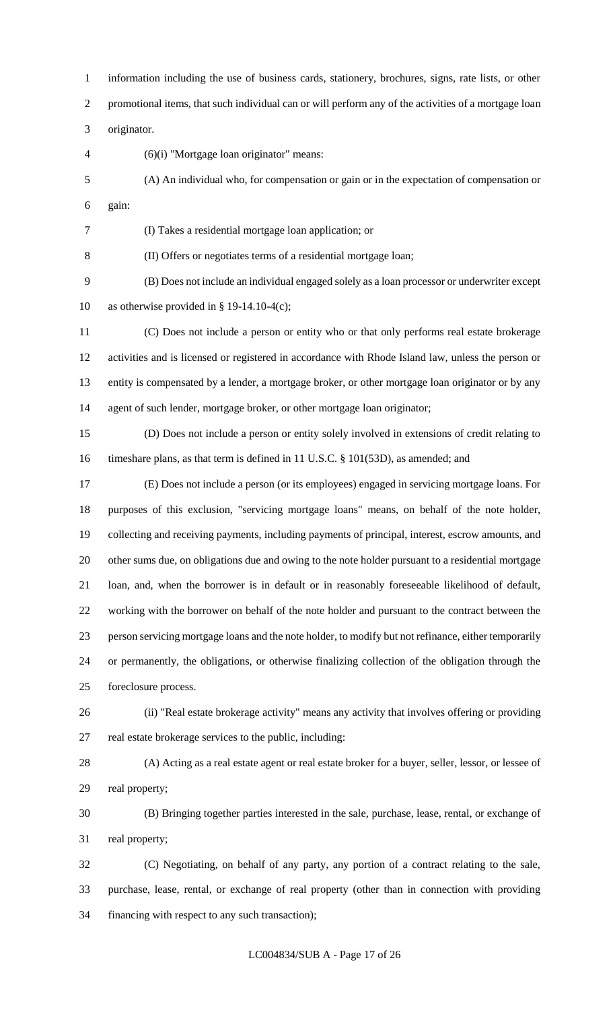information including the use of business cards, stationery, brochures, signs, rate lists, or other promotional items, that such individual can or will perform any of the activities of a mortgage loan originator. (6)(i) "Mortgage loan originator" means: (A) An individual who, for compensation or gain or in the expectation of compensation or gain: (I) Takes a residential mortgage loan application; or (II) Offers or negotiates terms of a residential mortgage loan; (B) Does not include an individual engaged solely as a loan processor or underwriter except 10 as otherwise provided in  $\S$  19-14.10-4(c); (C) Does not include a person or entity who or that only performs real estate brokerage activities and is licensed or registered in accordance with Rhode Island law, unless the person or entity is compensated by a lender, a mortgage broker, or other mortgage loan originator or by any agent of such lender, mortgage broker, or other mortgage loan originator; (D) Does not include a person or entity solely involved in extensions of credit relating to timeshare plans, as that term is defined in 11 U.S.C. § 101(53D), as amended; and (E) Does not include a person (or its employees) engaged in servicing mortgage loans. For purposes of this exclusion, "servicing mortgage loans" means, on behalf of the note holder, collecting and receiving payments, including payments of principal, interest, escrow amounts, and other sums due, on obligations due and owing to the note holder pursuant to a residential mortgage loan, and, when the borrower is in default or in reasonably foreseeable likelihood of default, working with the borrower on behalf of the note holder and pursuant to the contract between the person servicing mortgage loans and the note holder, to modify but not refinance, either temporarily or permanently, the obligations, or otherwise finalizing collection of the obligation through the foreclosure process. (ii) "Real estate brokerage activity" means any activity that involves offering or providing real estate brokerage services to the public, including: (A) Acting as a real estate agent or real estate broker for a buyer, seller, lessor, or lessee of real property; (B) Bringing together parties interested in the sale, purchase, lease, rental, or exchange of real property; (C) Negotiating, on behalf of any party, any portion of a contract relating to the sale, purchase, lease, rental, or exchange of real property (other than in connection with providing financing with respect to any such transaction);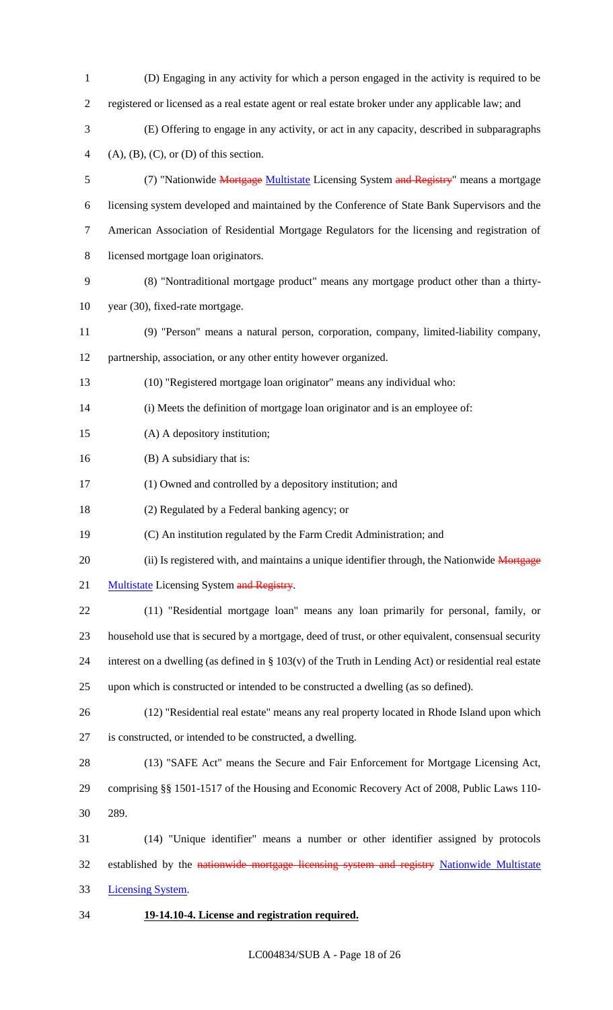| $\mathbf{1}$   | (D) Engaging in any activity for which a person engaged in the activity is required to be                 |
|----------------|-----------------------------------------------------------------------------------------------------------|
| $\overline{2}$ | registered or licensed as a real estate agent or real estate broker under any applicable law; and         |
| 3              | (E) Offering to engage in any activity, or act in any capacity, described in subparagraphs                |
| 4              | $(A), (B), (C),$ or $(D)$ of this section.                                                                |
| 5              | (7) "Nationwide Mortgage Multistate Licensing System and Registry" means a mortgage                       |
| 6              | licensing system developed and maintained by the Conference of State Bank Supervisors and the             |
| $\overline{7}$ | American Association of Residential Mortgage Regulators for the licensing and registration of             |
| 8              | licensed mortgage loan originators.                                                                       |
| 9              | (8) "Nontraditional mortgage product" means any mortgage product other than a thirty-                     |
| 10             | year (30), fixed-rate mortgage.                                                                           |
| 11             | (9) "Person" means a natural person, corporation, company, limited-liability company,                     |
| 12             | partnership, association, or any other entity however organized.                                          |
| 13             | (10) "Registered mortgage loan originator" means any individual who:                                      |
| 14             | (i) Meets the definition of mortgage loan originator and is an employee of:                               |
| 15             | (A) A depository institution;                                                                             |
| 16             | (B) A subsidiary that is:                                                                                 |
| 17             | (1) Owned and controlled by a depository institution; and                                                 |
| 18             | (2) Regulated by a Federal banking agency; or                                                             |
| 19             | (C) An institution regulated by the Farm Credit Administration; and                                       |
| 20             | (ii) Is registered with, and maintains a unique identifier through, the Nationwide Mortgage               |
| 21             | Multistate Licensing System and Registry.                                                                 |
| 22             | (11) "Residential mortgage loan" means any loan primarily for personal, family, or                        |
| 23             | household use that is secured by a mortgage, deed of trust, or other equivalent, consensual security      |
| 24             | interest on a dwelling (as defined in $\S 103(v)$ of the Truth in Lending Act) or residential real estate |
| 25             | upon which is constructed or intended to be constructed a dwelling (as so defined).                       |
| 26             | (12) "Residential real estate" means any real property located in Rhode Island upon which                 |
| 27             | is constructed, or intended to be constructed, a dwelling.                                                |
| 28             | (13) "SAFE Act" means the Secure and Fair Enforcement for Mortgage Licensing Act,                         |
| 29             | comprising §§ 1501-1517 of the Housing and Economic Recovery Act of 2008, Public Laws 110-                |
| 30             | 289.                                                                                                      |
| 31             | (14) "Unique identifier" means a number or other identifier assigned by protocols                         |
| 32             | established by the nationwide mortgage licensing system and registry Nationwide Multistate                |
| 33             | <b>Licensing System.</b>                                                                                  |
| 34             | 19-14.10-4. License and registration required.                                                            |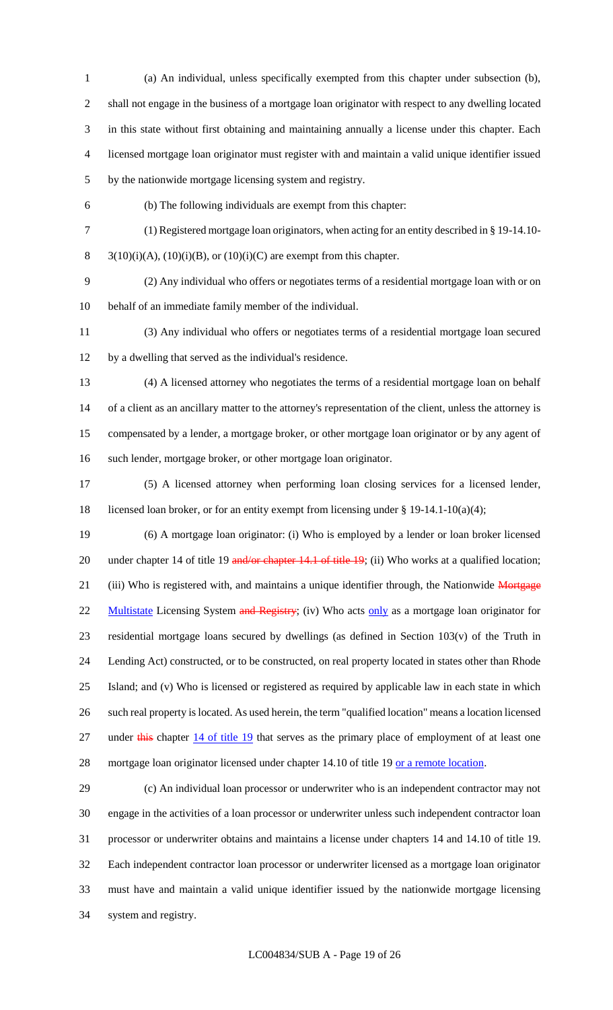(a) An individual, unless specifically exempted from this chapter under subsection (b), shall not engage in the business of a mortgage loan originator with respect to any dwelling located in this state without first obtaining and maintaining annually a license under this chapter. Each licensed mortgage loan originator must register with and maintain a valid unique identifier issued by the nationwide mortgage licensing system and registry.

(b) The following individuals are exempt from this chapter:

(1) Registered mortgage loan originators, when acting for an entity described in § 19-14.10-

8  $3(10)(i)(A)$ ,  $(10)(i)(B)$ , or  $(10)(i)(C)$  are exempt from this chapter.

 (2) Any individual who offers or negotiates terms of a residential mortgage loan with or on behalf of an immediate family member of the individual.

- (3) Any individual who offers or negotiates terms of a residential mortgage loan secured by a dwelling that served as the individual's residence.
	-

 (4) A licensed attorney who negotiates the terms of a residential mortgage loan on behalf of a client as an ancillary matter to the attorney's representation of the client, unless the attorney is compensated by a lender, a mortgage broker, or other mortgage loan originator or by any agent of such lender, mortgage broker, or other mortgage loan originator.

 (5) A licensed attorney when performing loan closing services for a licensed lender, licensed loan broker, or for an entity exempt from licensing under § 19-14.1-10(a)(4);

 (6) A mortgage loan originator: (i) Who is employed by a lender or loan broker licensed 20 under chapter 14 of title 19 and/or chapter 14.1 of title 19; (ii) Who works at a qualified location; 21 (iii) Who is registered with, and maintains a unique identifier through, the Nationwide Mortgage 22 Multistate Licensing System and Registry; (iv) Who acts only as a mortgage loan originator for residential mortgage loans secured by dwellings (as defined in Section 103(v) of the Truth in Lending Act) constructed, or to be constructed, on real property located in states other than Rhode Island; and (v) Who is licensed or registered as required by applicable law in each state in which such real property is located. As used herein, the term "qualified location" means a location licensed 27 under this chapter 14 of title 19 that serves as the primary place of employment of at least one

28 mortgage loan originator licensed under chapter 14.10 of title 19 or a remote location.

 (c) An individual loan processor or underwriter who is an independent contractor may not engage in the activities of a loan processor or underwriter unless such independent contractor loan processor or underwriter obtains and maintains a license under chapters 14 and 14.10 of title 19. Each independent contractor loan processor or underwriter licensed as a mortgage loan originator must have and maintain a valid unique identifier issued by the nationwide mortgage licensing system and registry.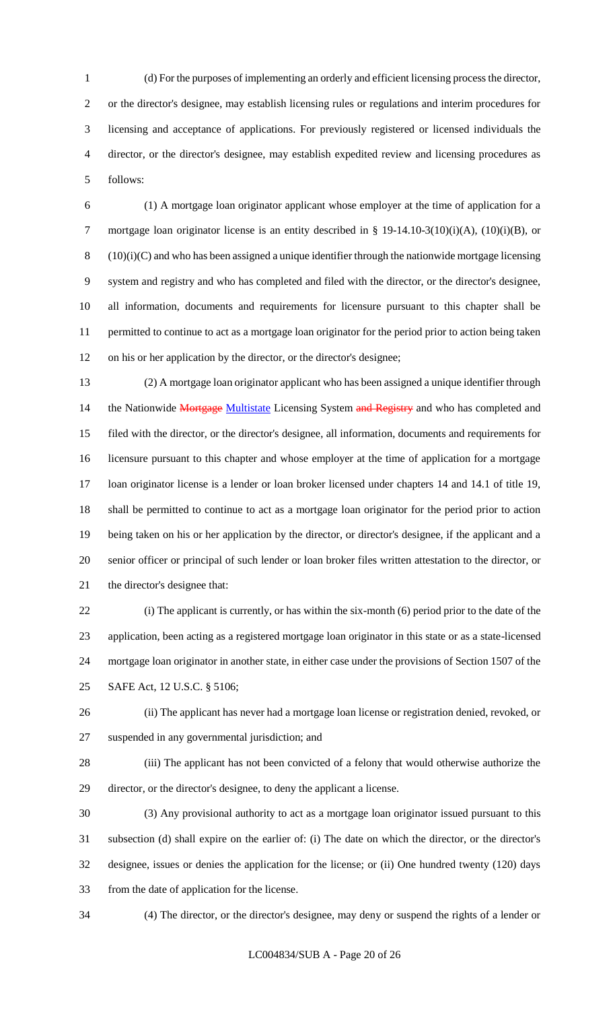(d) For the purposes of implementing an orderly and efficient licensing process the director, or the director's designee, may establish licensing rules or regulations and interim procedures for licensing and acceptance of applications. For previously registered or licensed individuals the director, or the director's designee, may establish expedited review and licensing procedures as follows:

 (1) A mortgage loan originator applicant whose employer at the time of application for a 7 mortgage loan originator license is an entity described in § 19-14.10-3(10)(i)(A), (10)(i)(B), or (10)(i)(C) and who has been assigned a unique identifier through the nationwide mortgage licensing system and registry and who has completed and filed with the director, or the director's designee, all information, documents and requirements for licensure pursuant to this chapter shall be permitted to continue to act as a mortgage loan originator for the period prior to action being taken on his or her application by the director, or the director's designee;

 (2) A mortgage loan originator applicant who has been assigned a unique identifier through 14 the Nationwide Mortgage Multistate Licensing System and Registry and who has completed and filed with the director, or the director's designee, all information, documents and requirements for licensure pursuant to this chapter and whose employer at the time of application for a mortgage loan originator license is a lender or loan broker licensed under chapters 14 and 14.1 of title 19, shall be permitted to continue to act as a mortgage loan originator for the period prior to action being taken on his or her application by the director, or director's designee, if the applicant and a senior officer or principal of such lender or loan broker files written attestation to the director, or the director's designee that:

 (i) The applicant is currently, or has within the six-month (6) period prior to the date of the application, been acting as a registered mortgage loan originator in this state or as a state-licensed mortgage loan originator in another state, in either case under the provisions of Section 1507 of the SAFE Act, 12 U.S.C. § 5106;

 (ii) The applicant has never had a mortgage loan license or registration denied, revoked, or suspended in any governmental jurisdiction; and

 (iii) The applicant has not been convicted of a felony that would otherwise authorize the director, or the director's designee, to deny the applicant a license.

 (3) Any provisional authority to act as a mortgage loan originator issued pursuant to this subsection (d) shall expire on the earlier of: (i) The date on which the director, or the director's designee, issues or denies the application for the license; or (ii) One hundred twenty (120) days from the date of application for the license.

(4) The director, or the director's designee, may deny or suspend the rights of a lender or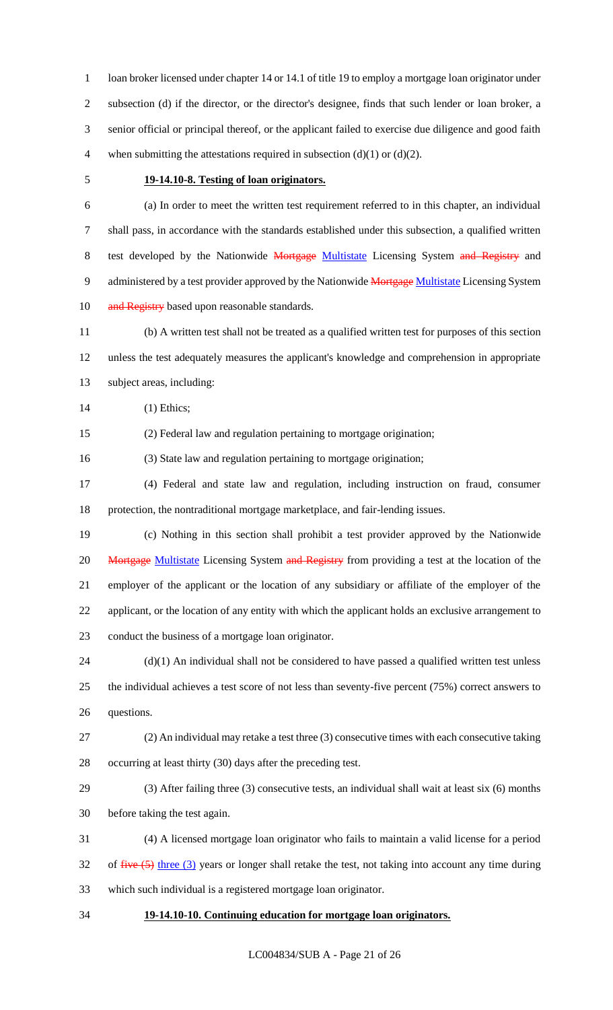1 loan broker licensed under chapter 14 or 14.1 of title 19 to employ a mortgage loan originator under subsection (d) if the director, or the director's designee, finds that such lender or loan broker, a senior official or principal thereof, or the applicant failed to exercise due diligence and good faith 4 when submitting the attestations required in subsection  $(d)(1)$  or  $(d)(2)$ .

## **19-14.10-8. Testing of loan originators.**

 (a) In order to meet the written test requirement referred to in this chapter, an individual shall pass, in accordance with the standards established under this subsection, a qualified written 8 test developed by the Nationwide Mortgage Multistate Licensing System and Registry and 9 administered by a test provider approved by the Nationwide Mortgage Multistate Licensing System 10 and Registry based upon reasonable standards.

 (b) A written test shall not be treated as a qualified written test for purposes of this section unless the test adequately measures the applicant's knowledge and comprehension in appropriate subject areas, including:

(1) Ethics;

(2) Federal law and regulation pertaining to mortgage origination;

(3) State law and regulation pertaining to mortgage origination;

 (4) Federal and state law and regulation, including instruction on fraud, consumer protection, the nontraditional mortgage marketplace, and fair-lending issues.

 (c) Nothing in this section shall prohibit a test provider approved by the Nationwide 20 Mortgage Multistate Licensing System and Registry from providing a test at the location of the employer of the applicant or the location of any subsidiary or affiliate of the employer of the applicant, or the location of any entity with which the applicant holds an exclusive arrangement to conduct the business of a mortgage loan originator.

24 (d)(1) An individual shall not be considered to have passed a qualified written test unless the individual achieves a test score of not less than seventy-five percent (75%) correct answers to questions.

- (2) An individual may retake a test three (3) consecutive times with each consecutive taking occurring at least thirty (30) days after the preceding test.
- (3) After failing three (3) consecutive tests, an individual shall wait at least six (6) months before taking the test again.

 (4) A licensed mortgage loan originator who fails to maintain a valid license for a period 32 of  $five (5)$  three (3) years or longer shall retake the test, not taking into account any time during which such individual is a registered mortgage loan originator.

### **19-14.10-10. Continuing education for mortgage loan originators.**

LC004834/SUB A - Page 21 of 26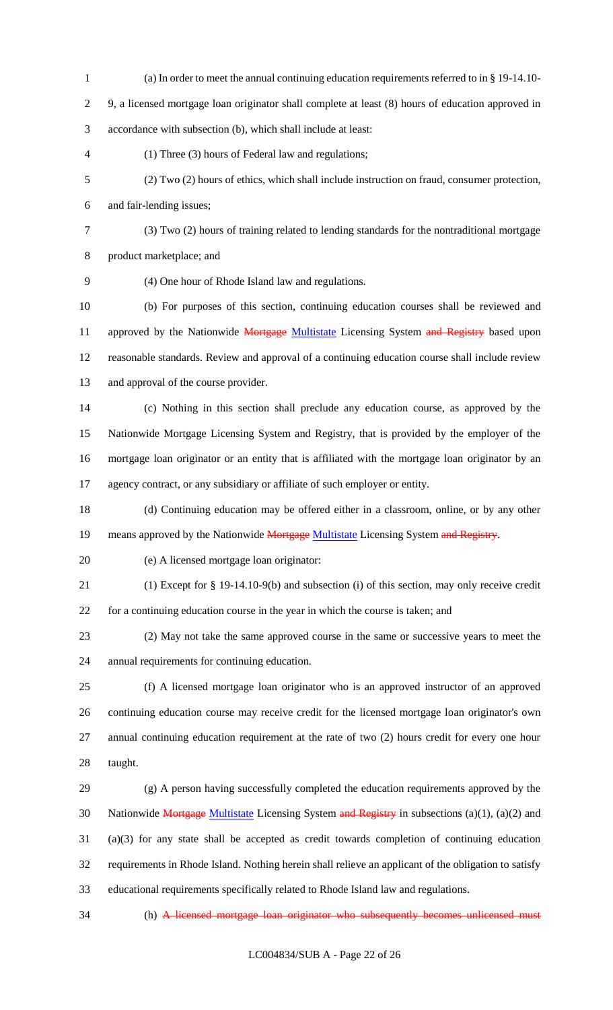(a) In order to meet the annual continuing education requirements referred to in § 19-14.10- 9, a licensed mortgage loan originator shall complete at least (8) hours of education approved in accordance with subsection (b), which shall include at least: (1) Three (3) hours of Federal law and regulations; (2) Two (2) hours of ethics, which shall include instruction on fraud, consumer protection, and fair-lending issues; (3) Two (2) hours of training related to lending standards for the nontraditional mortgage product marketplace; and (4) One hour of Rhode Island law and regulations. (b) For purposes of this section, continuing education courses shall be reviewed and 11 approved by the Nationwide Mortgage Multistate Licensing System and Registry based upon reasonable standards. Review and approval of a continuing education course shall include review and approval of the course provider. (c) Nothing in this section shall preclude any education course, as approved by the Nationwide Mortgage Licensing System and Registry, that is provided by the employer of the mortgage loan originator or an entity that is affiliated with the mortgage loan originator by an agency contract, or any subsidiary or affiliate of such employer or entity. (d) Continuing education may be offered either in a classroom, online, or by any other 19 means approved by the Nationwide Mortgage Multistate Licensing System and Registry. (e) A licensed mortgage loan originator: (1) Except for § 19-14.10-9(b) and subsection (i) of this section, may only receive credit for a continuing education course in the year in which the course is taken; and (2) May not take the same approved course in the same or successive years to meet the annual requirements for continuing education. (f) A licensed mortgage loan originator who is an approved instructor of an approved continuing education course may receive credit for the licensed mortgage loan originator's own annual continuing education requirement at the rate of two (2) hours credit for every one hour taught. (g) A person having successfully completed the education requirements approved by the 30 Nationwide Mortgage Multistate Licensing System and Registry in subsections  $(a)(1)$ ,  $(a)(2)$  and (a)(3) for any state shall be accepted as credit towards completion of continuing education requirements in Rhode Island. Nothing herein shall relieve an applicant of the obligation to satisfy educational requirements specifically related to Rhode Island law and regulations.

(h) A licensed mortgage loan originator who subsequently becomes unlicensed must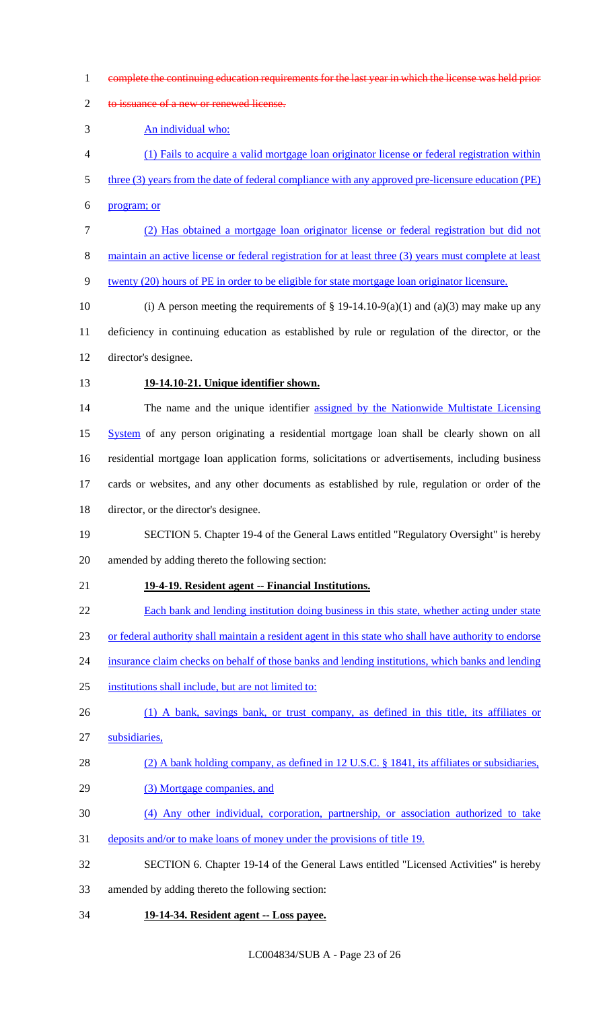- complete the continuing education requirements for the last year in which the license was held prior
- 2 to issuance of a new or renewed license.

An individual who:

- (1) Fails to acquire a valid mortgage loan originator license or federal registration within
- 5 three (3) years from the date of federal compliance with any approved pre-licensure education (PE)
- program; or
- (2) Has obtained a mortgage loan originator license or federal registration but did not
- maintain an active license or federal registration for at least three (3) years must complete at least
- twenty (20) hours of PE in order to be eligible for state mortgage loan originator licensure.
- 10 (i) A person meeting the requirements of  $\S$  19-14.10-9(a)(1) and (a)(3) may make up any deficiency in continuing education as established by rule or regulation of the director, or the director's designee.
- 

## **19-14.10-21. Unique identifier shown.**

14 The name and the unique identifier assigned by the Nationwide Multistate Licensing 15 System of any person originating a residential mortgage loan shall be clearly shown on all residential mortgage loan application forms, solicitations or advertisements, including business cards or websites, and any other documents as established by rule, regulation or order of the director, or the director's designee.

- SECTION 5. Chapter 19-4 of the General Laws entitled "Regulatory Oversight" is hereby amended by adding thereto the following section:
- **19-4-19. Resident agent -- Financial Institutions.**
- Each bank and lending institution doing business in this state, whether acting under state
- or federal authority shall maintain a resident agent in this state who shall have authority to endorse
- insurance claim checks on behalf of those banks and lending institutions, which banks and lending
- institutions shall include, but are not limited to:
- 26 (1) A bank, savings bank, or trust company, as defined in this title, its affiliates or
- subsidiaries,
- 28 (2) A bank holding company, as defined in 12 U.S.C. § 1841, its affiliates or subsidiaries,
- 29 (3) Mortgage companies, and
- (4) Any other individual, corporation, partnership, or association authorized to take
- deposits and/or to make loans of money under the provisions of title 19.
- SECTION 6. Chapter 19-14 of the General Laws entitled "Licensed Activities" is hereby
- amended by adding thereto the following section:
- **19-14-34. Resident agent -- Loss payee.**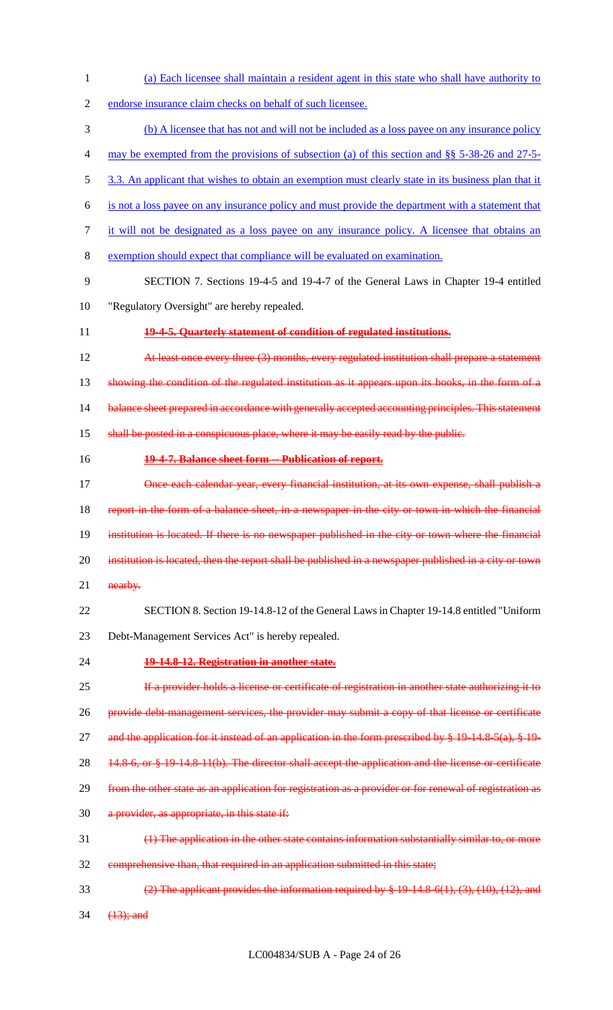endorse insurance claim checks on behalf of such licensee. (b) A licensee that has not and will not be included as a loss payee on any insurance policy may be exempted from the provisions of subsection (a) of this section and §§ 5-38-26 and 27-5- 5 3.3. An applicant that wishes to obtain an exemption must clearly state in its business plan that it is not a loss payee on any insurance policy and must provide the department with a statement that it will not be designated as a loss payee on any insurance policy. A licensee that obtains an exemption should expect that compliance will be evaluated on examination. SECTION 7. Sections 19-4-5 and 19-4-7 of the General Laws in Chapter 19-4 entitled "Regulatory Oversight" are hereby repealed. **19-4-5. Quarterly statement of condition of regulated institutions. At least once every three (3) months, every regulated institution shall prepare a statement** 13 showing the condition of the regulated institution as it appears upon its books, in the form of a 14 balance sheet prepared in accordance with generally accepted accounting principles. This statement shall be posted in a conspicuous place, where it may be easily read by the public. **19-4-7. Balance sheet form -- Publication of report. Once each calendar year, every financial institution, at its own expense, shall publish a** 18 report in the form of a balance sheet, in a newspaper in the city or town in which the financial institution is located. If there is no newspaper published in the city or town where the financial 20 institution is located, then the report shall be published in a newspaper published in a city or town 21 nearby. SECTION 8. Section 19-14.8-12 of the General Laws in Chapter 19-14.8 entitled "Uniform Debt-Management Services Act" is hereby repealed. **19-14.8-12. Registration in another state. If a provider holds a license or certificate of registration in another state authorizing it to** 26 provide debt-management services, the provider may submit a copy of that license or certificate 27 and the application for it instead of an application in the form prescribed by  $\frac{10}{2}$  14.8–5(a),  $\frac{219}{2}$ 28 14.8-6, or § 19-14.8-11(b). The director shall accept the application and the license or certificate 29 from the other state as an application for registration as a provider or for renewal of registration as a provider, as appropriate, in this state if: (1) The application in the other state contains information substantially similar to, or more comprehensive than, that required in an application submitted in this state; (2) The applicant provides the information required by § 19-14.8-6(1), (3), (10), (12), and

(a) Each licensee shall maintain a resident agent in this state who shall have authority to

34  $(13)$ ; and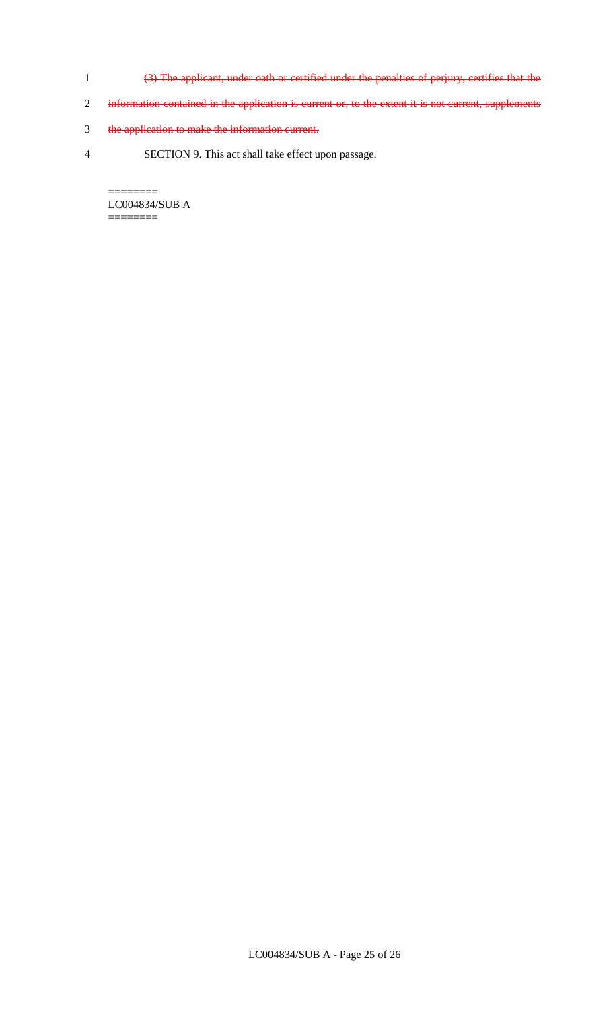- 1 (3) The applicant, under oath or certified under the penalties of perjury, certifies that the
- 2 information contained in the application is current or, to the extent it is not current, supplements
- 3 the application to make the information current.
- 4 SECTION 9. This act shall take effect upon passage.

======== LC004834/SUB A  $=$